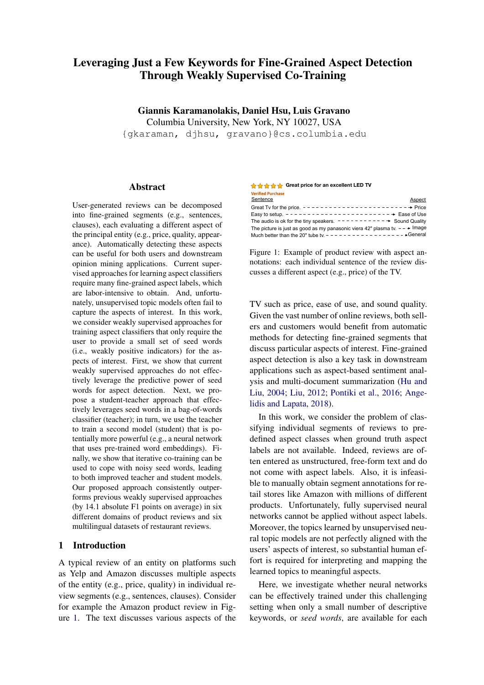# Leveraging Just a Few Keywords for Fine-Grained Aspect Detection Through Weakly Supervised Co-Training

Giannis Karamanolakis, Daniel Hsu, Luis Gravano

Columbia University, New York, NY 10027, USA

{gkaraman, djhsu, gravano}@cs.columbia.edu

## **Abstract**

User-generated reviews can be decomposed into fine-grained segments (e.g., sentences, clauses), each evaluating a different aspect of the principal entity (e.g., price, quality, appearance). Automatically detecting these aspects can be useful for both users and downstream opinion mining applications. Current supervised approaches for learning aspect classifiers require many fine-grained aspect labels, which are labor-intensive to obtain. And, unfortunately, unsupervised topic models often fail to capture the aspects of interest. In this work, we consider weakly supervised approaches for training aspect classifiers that only require the user to provide a small set of seed words (i.e., weakly positive indicators) for the aspects of interest. First, we show that current weakly supervised approaches do not effectively leverage the predictive power of seed words for aspect detection. Next, we propose a student-teacher approach that effectively leverages seed words in a bag-of-words classifier (teacher); in turn, we use the teacher to train a second model (student) that is potentially more powerful (e.g., a neural network that uses pre-trained word embeddings). Finally, we show that iterative co-training can be used to cope with noisy seed words, leading to both improved teacher and student models. Our proposed approach consistently outperforms previous weakly supervised approaches (by 14.1 absolute F1 points on average) in six different domains of product reviews and six multilingual datasets of restaurant reviews.

# 1 Introduction

A typical review of an entity on platforms such as Yelp and Amazon discusses multiple aspects of the entity (e.g., price, quality) in individual review segments (e.g., sentences, clauses). Consider for example the Amazon product review in Figure [1.](#page-0-0) The text discusses various aspects of the

<span id="page-0-0"></span>

| <del>A A A</del> A Great price for an excellent LED TV                                          |        |
|-------------------------------------------------------------------------------------------------|--------|
| <b>Verified Purchase</b>                                                                        |        |
| Sentence                                                                                        | Aspect |
| Great Tv for the price. $- - - - - - - - - - - - - - - - - - - - - - - - - - - - - - - -$ Price |        |
|                                                                                                 |        |
| The audio is ok for the tiny speakers. $- - - - - - - - - - \rightarrow$ Sound Quality          |        |
| The picture is just as good as my panasonic viera 42" plasma tv. $ \rightarrow$ Image           |        |
|                                                                                                 |        |

Figure 1: Example of product review with aspect annotations: each individual sentence of the review discusses a different aspect (e.g., price) of the TV.

TV such as price, ease of use, and sound quality. Given the vast number of online reviews, both sellers and customers would benefit from automatic methods for detecting fine-grained segments that discuss particular aspects of interest. Fine-grained aspect detection is also a key task in downstream applications such as aspect-based sentiment analysis and multi-document summarization [\(Hu and](#page-9-0) [Liu,](#page-9-0) [2004;](#page-9-0) [Liu,](#page-9-1) [2012;](#page-9-1) [Pontiki et al.,](#page-10-0) [2016;](#page-10-0) [Ange](#page-8-0)[lidis and Lapata,](#page-8-0) [2018\)](#page-8-0).

In this work, we consider the problem of classifying individual segments of reviews to predefined aspect classes when ground truth aspect labels are not available. Indeed, reviews are often entered as unstructured, free-form text and do not come with aspect labels. Also, it is infeasible to manually obtain segment annotations for retail stores like Amazon with millions of different products. Unfortunately, fully supervised neural networks cannot be applied without aspect labels. Moreover, the topics learned by unsupervised neural topic models are not perfectly aligned with the users' aspects of interest, so substantial human effort is required for interpreting and mapping the learned topics to meaningful aspects.

Here, we investigate whether neural networks can be effectively trained under this challenging setting when only a small number of descriptive keywords, or *seed words*, are available for each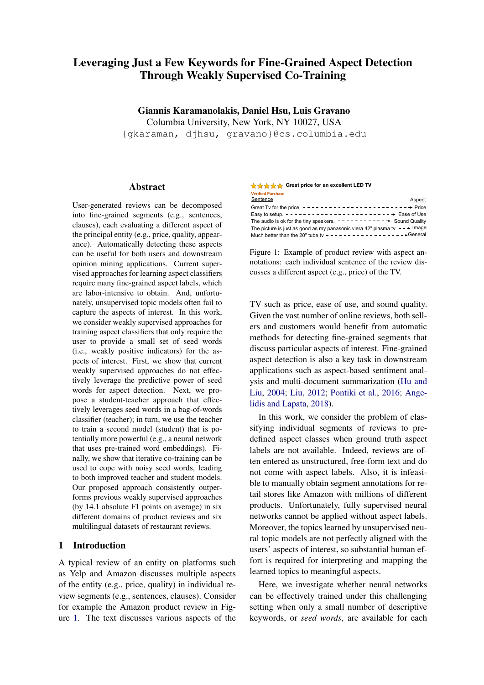<span id="page-1-0"></span>

| <b>Aspect</b> | <b>Seed Words</b>                         |
|---------------|-------------------------------------------|
| Price (EN)    | price, value, money, worth, paid          |
| Image (EN)    | picture, color, quality, black, bright    |
| Food (EN)     | food, delicious, pizza, cheese, sushi     |
| Drinks (FR)   | vin, bière, verre, bouteille, cocktail    |
| Ambience (SP) | ambiente, mesas, terraza, acogedor, ruido |

Table 1: Examples of aspects and five of their corresponding seed words in various domains (electronic products, restaurants) and languages ("EN" for English, "FR" for French, "SP" for Spanish).

aspect class. Table [1](#page-1-0) shows examples of aspects and five of their corresponding seed words from our experimental datasets (described later in more detail). In contrast to a classification label, which is only relevant for a single segment, a seed word can implicitly provide aspect supervision to potentially many segments. We assume that the seed words have already been collected either manually or automatically. Indeed, collecting a small<sup>[1](#page-1-1)</sup> set of seed words per aspect is typically easier than manually annotating thousands of segments for training neural networks. As we will see, even noisy seed words that are only weakly predictive of the aspect will be useful for aspect detection.

Training neural networks for segment-level aspect detection using just a few seed words is a challenging task. Indeed, as a contribution of this paper, we observe that current weakly supervised networks do not effectively leverage the predictive power of the available seed words. To address the shortcomings of previous seed word-based approaches, we propose a novel *weakly supervised* approach, which uses the available seed words in a more effective way. In particular, we consider a *student-teacher* framework, according to which a bag-of-seed-words classifier (teacher) is applied on unlabeled segments to supervise a second model (student), which can be any supervised model, including neural networks.

Our approach introduces several important contributions. First, our teacher model considers each individual seed word as a (noisy) aspect indicator, which as we will show, is more effective than previously proposed weakly supervised approaches. Second, by using only the teacher's aspect probabilities, our student generalizes better than the teacher and, as a result, the student outperforms both the teacher and previously proposed weakly supervised models. Finally, we show how iterative co-training can be used to cope with noisy seed words: the teacher effectively estimates the predictive quality of the noisy seed words in an unsupervised manner using the associated predictions by the student. Iterative co-training then leads to both improved teacher and student models. Overall, our approach consistently outperforms existing weakly supervised approaches, as we show with an experimental evaluation over six domains of product reviews and six multilingual datasets of restaurant reviews.

The rest of this paper is organized as follows. In Section [2](#page-1-2) we review relevant work. In Section [3](#page-3-0) we describe our proposed weakly supervised approach. In Section [4](#page-5-0) we present our experimental setup and findings. Finally, in Section [5](#page-8-1) we conclude and suggest future work. A preliminary version of this work was presented at the Second Learning from Limited Labeled Data Workshop [\(Karamanolakis et al.,](#page-9-2) [2019\)](#page-9-2).

## <span id="page-1-2"></span>2 Related Work and Problem Definition

We now review relevant work on aspect detection (Section [2.1\)](#page-1-3), co-training (Section [2.2\)](#page-2-0), and knowledge distillation (Section [2.3\)](#page-3-1). We also define our problem of focus (Section [2.4\)](#page-3-2).

### <span id="page-1-3"></span>2.1 Segment-Level Aspect Detection

The goal of segment-level aspect detection is to classify a segment s to  $K$  aspects of interest.

<span id="page-1-6"></span>Supervised Approaches. Rule-based or traditional learning models for aspect detection have been outperformed by supervised neural networks [\(Liu et al.,](#page-9-3) [2015;](#page-9-3) [Poria et al.,](#page-10-1) [2016;](#page-10-1) [Zhang](#page-10-2) [et al.,](#page-10-2) [2018\)](#page-10-2). Supervised neural networks first use an embedding function<sup>[2](#page-1-4)</sup> (EMB) to compute a low dimensional segment representation  $h =$ EMB(s)  $2 \mathbb{R}^d$  and then feed h to a classifica-tion layer<sup>[3](#page-1-5)</sup> (CLF) to predict probabilities for the K aspect classes of interest:  $p = h p^1$ ;:::;  $p^K$  i = CLF(h). For simplicity, we write  $p = f(s)$ . The parameters of the embedding function and the classification layer are learned using ground truth,

<span id="page-1-1"></span><sup>&</sup>lt;sup>1</sup>In our experiments, we only consider around 30 seed words per aspect. For comparison, the vocabulary of the datasets has more than 10,000 terms.

<span id="page-1-4"></span> ${}^{2}$ Examples of segment embedding functions are the average of word embeddings [\(Wieting et al.,](#page-10-3) [2015;](#page-10-3) [Arora et al.,](#page-8-2) [2017\)](#page-8-2), Recurrent Neural Networks (RNNs) [\(Yang et al.,](#page-10-4) [2016;](#page-10-4) [Wieting and Gimpel,](#page-10-5) [2017\)](#page-10-5), Convolutional Neural Networks (CNNs) [\(Kim,](#page-9-4) [2014\)](#page-9-4), self-attention blocks [\(Devlin](#page-9-5) [et al.,](#page-9-5) [2019;](#page-9-5) [Radford et al.,](#page-10-6) [2018\)](#page-10-6), etc.

<span id="page-1-5"></span> $3$ The classification layer is usually a hidden layer followed by the softmax function.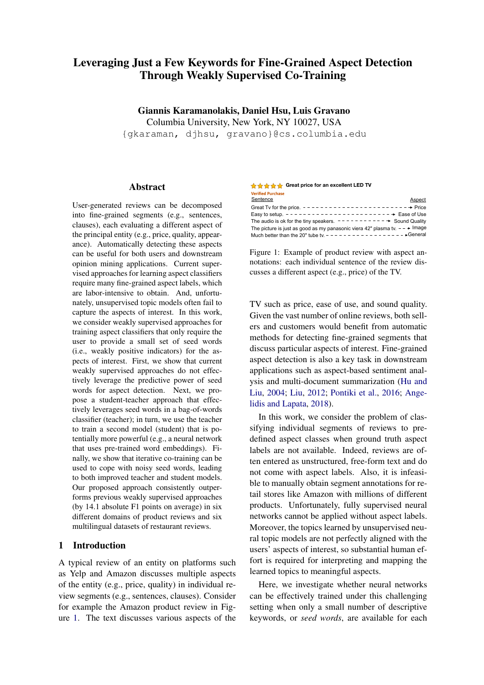segment-level aspect labels. However, aspect labels are not available in our setting, which hinders the application of supervised learning approaches.

Unsupervised Approaches. Topic models have been used to train aspect detection with unannotated documents. Recently, neural topic models [\(Iyyer et al.,](#page-9-6) [2016;](#page-9-6) [Srivastava and Sutton,](#page-10-7) [2071;](#page-10-7) [He et al.,](#page-9-7) [2017\)](#page-9-7) have been shown to produce more coherent topics than earlier models such as Latent Dirichlet Allocation (LDA) [\(Blei et al.,](#page-8-3) [2003\)](#page-8-3). In their Aspect Based Autoencoder (ABAE), [He](#page-9-7) [et al.](#page-9-7) [\(2017\)](#page-9-7) first use segment s to predict aspect probabilities  $p = f(s)$  and then use p to reconstruct an embedding  $h^{\beta}$  for *S* as a convex combination of K aspect embeddings:  $h^{\beta} = \int_{k=1}^{K} \int_{k=1}^{K} \rho^{k} A_{k}$ , where  $A_k \nightharpoonup \mathbb{R}^d$  is the embedding of the *k*-th aspect. The aspect embeddings  $A_k$  are initialized by clustering the vocabulary embeddings using kmeans with  $K$  clusters. ABAE is trained by mini-mizing the segment reconstruction error.<sup>[4](#page-2-1)</sup>

Unfortunately, unsupervised topic models are not effective when used directly for aspect detection. In particular, in ABAE, the  $K$  topics learned to reconstruct the segments are not necessarily aligned with the  $K$  aspects of interest. A possible fix is to first learn  $K^0 >> K$  topics and do a  $K^{\ell}$ -to- $K$  mapping as a post-hoc step. However, this mapping requires either aspect labels or substantial human effort for interpreting topics and associating them with aspects. This mapping is nevertheless not possible if the learned topics are not aligned with the aspects.

Weakly Supervised Approaches. Weakly supervised approaches use minimal domain knowledge (instead of ground truth labels) to model meaningful aspects. In our setting, domain knowledge is given as a set of seed words for each aspect of interest [\(Lu et al.,](#page-9-8) [2011;](#page-9-8) [Lund et al.,](#page-9-9) [2017;](#page-9-9) [Angelidis and Lapata,](#page-8-0) [2018\)](#page-8-0). [Lu et al.](#page-9-8) [\(2011\)](#page-9-8) use seed words as asymmetric priors in probabilistic topic models (including LDA). [Lund et al.](#page-9-9) [\(2017\)](#page-9-9) use LDA with fixed topic-word distributions, which are learned using seed words as "anchors" for topic inference [\(Arora et al.,](#page-8-4) [2013\)](#page-8-4). Neither of these two approaches can be directly applied into more recent neural networks for aspect detection. [Angelidis and Lapata](#page-8-0) [\(2018\)](#page-8-0) recently proposed a weakly supervised extension

of the unsupervised ABAE. Their model, named Multi-seed Aspect Extractor, or MATE, initializes the aspect embedding  $A_k$  using the weighted average of the corresponding seed word embeddings (instead of the k-means centroids). To guarantee that the aspect embeddings will still be aligned with the  $K$  aspects of interest after training, [Ange](#page-8-0)[lidis and Lapata](#page-8-0) [\(2018\)](#page-8-0) keep the aspect and word embeddings fixed throughout training. In this work, we will show that the predictive power of seed words can be leveraged more effectively by considering each individual seed word as a more direct source of supervision during training.

#### <span id="page-2-0"></span>2.2 Co-training

Co-training [\(Blum and Mitchell,](#page-8-5) [1998\)](#page-8-5) is a classic multi-view learning method for semi-supervised learning. In co-training, classifiers over different feature spaces are encouraged to agree in their predictions on a large pool of unlabeled examples. [Blum and Mitchell](#page-8-5) [\(1998\)](#page-8-5) justify co-training in a setting where the different views are conditionally independent given the label. Several subsequent works have relaxed this assumption and shown co-training to be effective in much more general settings [\(Balcan et al.,](#page-8-6) [2005;](#page-8-6) [Chen et al.,](#page-8-7) [2011;](#page-8-7) [Collins and Singer,](#page-9-10) [1999;](#page-9-10) [Clark et al.,](#page-8-8) [2018\)](#page-8-8). Cotraining is also related to self-training (or bootstrapping) [\(Yarowsky,](#page-10-10) [1995\)](#page-10-10), which trains a classifier using its own predictions and has been successfully applied for various NLP tasks [\(Collins](#page-9-10) [and Singer,](#page-9-10) [1999;](#page-9-10) [McClosky et al.,](#page-9-11) [2006\)](#page-9-11).

Recent research has successfully revisited these general ideas to solve NLP problems with modern deep learning methods. [Clark et al.](#page-8-8) [\(2018\)](#page-8-8) propose "cross-view training" for sequence modeling tasks by modifying Bi-LSTMs for *semisupervised* learning. [Ruder and Plank](#page-10-11) [\(2018\)](#page-10-11) show that classic bootstrapping approaches such as tritraining [\(Zhou and Li,](#page-10-12) [2005\)](#page-10-12) can be effectively integrated in neural networks for semi-supervised learning under domain shift. Our work provides further evidence that co-training can be effectively integrated into neural networks and combined with recent transfer learning approaches for NLP [\(Dai](#page-9-12) [and Le,](#page-9-12) [2015;](#page-9-12) [Howard and Ruder,](#page-9-13) [2018;](#page-9-13) [Devlin](#page-9-5) [et al.,](#page-9-5) [2019;](#page-9-5) [Radford et al.,](#page-10-6) [2018\)](#page-10-6), in a substantially different, *weakly supervised* setting where no ground-truth labels but only a few seed words are available for training.

<span id="page-2-1"></span><sup>&</sup>lt;sup>4</sup>The reconstruction error can be efficiently estimated using contrastive max-margin objectives [\(Weston et al.,](#page-10-8) [2011;](#page-10-8) [Pennington et al.,](#page-10-9) [2014\)](#page-10-9).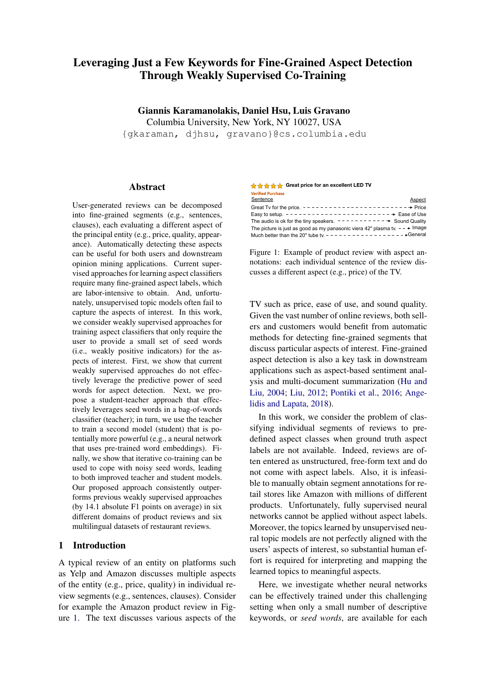| Variable                         | Description                                   |
|----------------------------------|-----------------------------------------------|
| S                                | Segment (e.g., sentence) of a text review     |
| Κ                                | Number of aspects of interest                 |
|                                  | Total number of seed words                    |
| $G_i$ $(i = 1, \ldots, K)$       | Set of seed words for the <i>i</i> -th aspect |
| $h \supset R^d$                  | Segment embedding (student)                   |
| $C$ $\supset$ $N^D$              | Bag-of-seed-words representation of S         |
| $p = h p^{1}$ ;::: $p^{K}$ i     | Student's aspect predictions                  |
| $q = hq^{1}$ ; : : : ; $q^{K}$ i | Teacher's aspect predictions                  |

Table 2: Notation.

#### <span id="page-3-1"></span>2.3 Knowledge Distillation

Our approach is also related to the "knowledge distillation" framework (Buciluă et al., [2006;](#page-8-9) [Ba](#page-8-10) [and Caruana,](#page-8-10) [2014;](#page-8-10) [Hinton et al.,](#page-9-14) [2015\)](#page-9-14), which has received considerable attention recently [\(Lopez-](#page-9-15)[Paz et al.,](#page-9-15) [2016;](#page-9-15) [Kim and Rush,](#page-9-16) [2016;](#page-9-16) [Furlanello](#page-9-17) [et al.,](#page-9-17) [2018;](#page-9-17) [Wang,](#page-10-13) [2019\)](#page-10-13). Traditional knowledge distillation aims at compressing a cumbersome model (teacher) to a simpler model (student) by training the student using both ground truth labels and the soft predictions of the teacher in a distillation objective. Our work also considers a studentteacher architecture and the distillation objective but under a considerably different, weakly supervised setting: (1) we do not use any labels for training and (2) we create conditions that allow the student to outperform the teacher; in turn, (3) we can use the student's predictions to learn a better teacher under co-training.

#### <span id="page-3-2"></span>2.4 Problem Definition

Consider a corpus of text reviews from an entity domain (e.g., televisions, restaurants). Each review is split into segments (e.g., sentences, clauses). We also consider  $K$  pre-defined aspects of interest  $(1, \ldots, K)$ , including the "General" aspect, which we assume is the  $K$ -th aspect for simplicity. Different segments of the same review may be associated with different aspects but ground-truth aspect labels are *not* available for training. Instead, a small number of seed words  $G_k$  are provided for each aspect  $k \nvert 2 \nvert K$ . Our goal is to use the corpus of training reviews and the available seed words  $G = (G_1; \dots; G_K)$  to train a classifier, which, given an unseen test segment s, predicts K aspect probabilities  $p = h p^1$ ;:::: $p^K i$ .

#### <span id="page-3-0"></span>3 Our Student-Teacher Approach

We now describe our weakly supervised framework for aspect detection. We consider a studentteacher architecture (Figure [2\)](#page-3-3), where the teacher

<span id="page-3-3"></span>

Figure 2: Our student-teacher approach for segmentlevel aspect detection using seed words.

is a bag-of-words classifier based solely on the provided seed words (i.e., a "bag-of-seed-words" classifier), and the student is an embedding-based neural network trained on data "softly" labeled by the teacher (as in the distillation objective). In the rest of this section, we describe the individual components of our student-teacher architecture and our proposed algorithm for performing updates.

## <span id="page-3-4"></span>3.1 Teacher: A Bag-of-Seed-Words Classifier

Our teacher model leverages the available seed words  $G$  that are predictive of the  $K$  aspects. Let D denote the total number of seed words in G. We can represent a segment  $S_i$  using a bag-of-seedwords representation  $c_i \nightharpoonup N^D$ , where  $c_i^j$  $\frac{1}{i}$  encodes the number of times the j-th seed word occurs in  $S_i$ . (Note that  $C_i$  ignores the non-seed words.) The teacher's prediction for the k-th aspect is:

<span id="page-3-5"></span>
$$
q_i^k = \frac{\exp(\sum_{j=1}^D 1 \text{ if } j \geq G_k g \ c_j^j)}{\int_{k^0}^D \exp(\sum_{j=1}^D 1 \text{ if } j \geq G_{k^0} g \ c_j^j)}.
$$
 (1)

If no seed word appears in  $S$ , then the teacher predicts the "General" aspect by setting  $q_i^K = 1$ . Under this configuration the teacher uses seed words in a direct and intuitive way: it predicts aspect probabilities for the k-th aspect, which are proportional to the counts of the seed words under  $G_k$ , while if no seed word occurs in  $S$ , it predicts the "General" aspect. The classifier receives  $c_i$  as input and predicts  $q_i = hq_i^1$ ;:::; $q_i^K$  i.

Although the teacher only uses seed words to predict the aspect of a segment, we also expect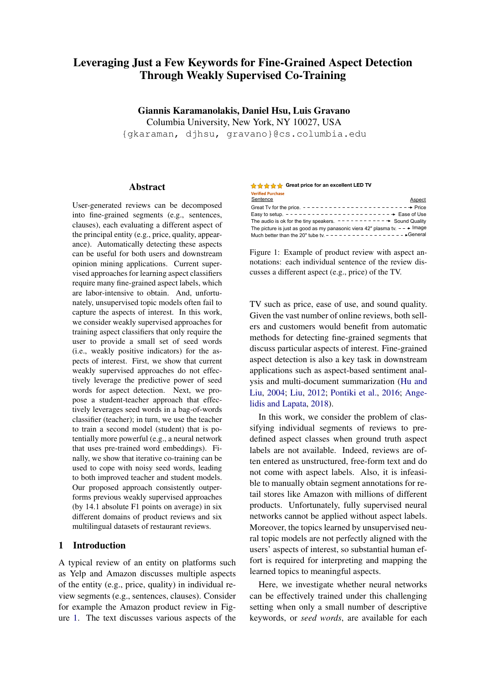non-seed words to carry predictive power. Next, we describe the student network that learns to associate non-seed words with aspects.

#### 3.2 Student: An Embedding-Based Network

Our student model is an embedding-based neural network: a segment is first embedded ( $h_i$  = EMB( $s_i$ )  $2 \mathbb{R}^d$ ) and then classified to the K aspects  $(p_i = CLF(h_i))$  (see Section [2.1\)](#page-1-6). The student does not use ground-truth aspect labels for training. Instead, it is trained by optimizing the distillation objective, i.e., the cross entropy between the teacher's (soft) predictions and the student's predictions:

<span id="page-4-0"></span>
$$
H(q_i; p_i) = \frac{\times}{k} q_i^k \log p_i^k \qquad (2)
$$

While the teacher only uses the seed words in  $S_i$ to form its prediction  $q_i$ , the student uses all the words in  $S_i$ . Thus, using the distillation loss for training, the student learns to use both seed words and non-seed words to predict aspects. As a result, the student is able to generalize better than the teacher and *predict aspects even in segments that do not contain any seed words*. To regularize the student model, we apply L2 regularization to the classifier's weights and dropout regularization to the word embeddings [\(Srivastava et al.,](#page-10-14) [2014\)](#page-10-14). As we will show in Section [4,](#page-5-0) our student with this configuration outperforms the teacher in aspect prediction.

#### <span id="page-4-3"></span>3.3 Iterative Co-Training

In this section, we describe our iterative cotraining algorithm to cope with noisy seed words. The teacher in Section [3.1](#page-3-4) considers each seed word equally, which can be problematic because not all seed words are equally good for predicting an aspect. In this work, we propose to estimate the predictive quality of each seed word in an unsupervised way. Our approach is inspired in the Model Bootstrapped Expectation Maximization (MBEM) algorithm of [Khetan et al.](#page-9-18) [\(2018\)](#page-9-18). MBEM is guaranteed to converge (under mild conditions) when the number of training data is sufficiently large and the worker quality is sufficiently high. Here, we treat seed words as "noisy annotators" and adopt an iterative estimation procedure similar to MBEM, as we describe next.

We model the predictive quality of the  $j$ -th seed word as a weight vector  $z_j = h z_j^1$ ; :::;  $z_j^K$  *i*, where

### Algorithm 1 Iterative Seed Word Distillation

**Input:**  $fS_i g_{i2[N]}$ , *D* seed words grouped into K disjoint sets  $G = (G_1; \ldots; G_K)$ **Output:**  $\hat{f}$ : predictor function for segmentlevel aspect detection

| Predict $\overline{f}q_i g_{i2[N]}$ (Eq. (1)) | . Apply teacher |
|-----------------------------------------------|-----------------|
| Repeat until convergence criterion            |                 |
|                                               |                 |

| . Train student                                  |
|--------------------------------------------------|
| . Apply student                                  |
| Update $fZ_jg_{j2 D }$ (Eq. (4)). Update teacher |
| . Apply teacher                                  |
|                                                  |

 $z_j^k$  measures the strength of the association with the k-th aspect. We thus change the teacher to consider seed word quality. In particular, we replace Equation [\(1\)](#page-3-5) by:

<span id="page-4-2"></span>
$$
q_i^k = \frac{\exp\left[\frac{D}{f-1} \mathbb{1}fj \ 2 \ G_k g \ 2_j^k \ c_j^j\right]}{\kappa^0 \exp\left[\frac{D}{f-1} \mathbb{1}fj \ 2 \ G_k g \ 2_j^{k^0} c_j^j \right]}.
$$
 (3)

where  $\dot{z}_i$  is the current estimate of  $z_i$ . As no ground-truth labels are available, we fol-low [Khetan et al.](#page-9-18) [\(2018\)](#page-9-18) and estimate  $Z_i$  via Maximum Likelihood Estimation using the student's predictions as the current estimate of the ground truth labels. In particular, we assume that the prediction of the student for a training segment  $S_i$  is  $t_i$  = argmax<sub>k</sub>  $p_i^k$ . Then, for each seed word we compute the quality estimate for the  $k$ -th aspect using the student's predictions for  $N$  segments:

<span id="page-4-1"></span>
$$
2_{j}^{k} = \frac{\sum_{i=1}^{N} \mathbb{1} f c_{i}^{j} > 0 g \mathbb{1} f t_{i} = kg}{\sum_{i=1}^{N} \mathbb{1} f c_{i}^{j} > 0 g \mathbb{1} f t_{i} = k^{g} g}.
$$
 (4)

According to Equation  $(4)$ , the quality of the  $j$ -th seed word is estimated according to the studentteacher agreement on segments where the seed word appears.

Building upon the previous ideas, we present our Iterative Seed Word Distillation (ISWD) algorithm for effectively leveraging the seed words for fine-grained aspect detection. Each round of ISWD consists of the following steps (Algorithm 1): (1) we apply the teacher on unlabeled training segments to get predictions  $q_i$  (without considering seed word qualities); (2) we train the student using the teacher's predictions in the distillation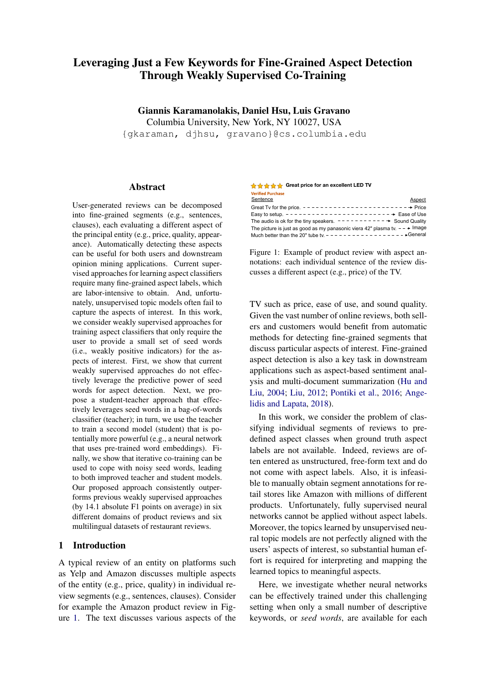objective of Equation  $(2)$ ;<sup>[5](#page-5-1)</sup> (3) we apply the student in the training data to get predictions  $p_i$ ; and (4) we update the seed word quality parameters using the student's predictions in Equation [\(4\)](#page-4-1).

In contrast to MATE, which uses the validation set (with aspect labels) to estimate seed weights in an initialization step, our proposed method is an unsupervised approach to modeling and adapting the seed word quality during training. We stop this iterative procedure after the disagreement between the student's and teacher's hard predictions in the training data stops decreasing. We empirically observe that 2-3 rounds are sufficient to satisfy this criterion. This observation also agrees with [Khetan et al.](#page-9-18) [\(2018\)](#page-9-18), who only run their algorithm for two rounds.

#### <span id="page-5-0"></span>4 Experiments

We evaluate our approach to aspect detection on several datasets of product and restaurant reviews.

#### 4.1 Experimental Settings

Datasets. We train and evaluate our models on Amazon product reviews for six domains (Laptop Bags, Keyboards, Boots, Bluetooth Headsets, Televisions, and Vacuums) from the OPO-SUM dataset [\(Angelidis and Lapata,](#page-8-0) [2018\)](#page-8-0), and on restaurant reviews in six languages (English, Spanish, French, Russian, Dutch, Turkish) from the SemEval-2016 Aspect-based Sentiment Analysis task [\(Pontiki et al.,](#page-10-0) [2016\)](#page-10-0). Aspect labels (9 class for product reviews and 12-class for restaurant reviews) are available for each segment<sup> $6$ </sup> of the validation and test sets. The restaurant reviews also come with training aspect labels, which we only use for training the fully supervised models. For a fair comparison, we use exactly the same 30 seed words (per aspect and domain) used in [Angelidis and Lapata](#page-8-0) [\(2018\)](#page-8-0) for the product reviews and use the same extraction method described in [Angelidis and Lapata](#page-8-0) [\(2018\)](#page-8-0) to extract 30 seed words for the restaurant reviews. See Appendix [A](#page-11-0) for more dataset details.

Experimental Procedure. For a fair comparison, we use exactly the same pre-processing (tokenization, stemming, and word embedding) and evaluation procedure as in [Angelidis and Lapata](#page-8-0) [\(2018\)](#page-8-0). For each domain, we train our model on the training set without using any aspect labels, and only use the seed words G via the teacher. For each model, we report the average test performance over 5 different runs with the parameter configuration that achieves best validation performance. As evaluation metric, we use the microaveraged F1.

Model Configuration. For the student network, we experiment with various modeling choices for segment representations: bag-ofwords (BOW) classifiers, the unweighted average of word2vec embeddings (W2V), the weighted average of word2vec embeddings using bilinear attention [\(Luong et al.,](#page-9-20) [2015\)](#page-9-20) (same setting as [He](#page-9-7) [et al.](#page-9-7) [\(2017\)](#page-9-7); [Angelidis and Lapata](#page-8-0) [\(2018\)](#page-8-0)), and the average of contextualized word representations obtained from the second-to-last layer of the pretrained (self-attention based) BERT model [\(Devlin](#page-9-5) [et al.,](#page-9-5) [2019\)](#page-9-5), which uses multiple self-attention layers [\(Vaswani et al.,](#page-10-15) [2017\)](#page-10-15) and has been shown to achieve state-of-the-art performance in many downstream NLP applications. For the English product reviews, we use the base uncased BERT model. For the multilingual restaurant reviews, we use the multilingual cased BERT model.<sup>[7](#page-5-3)</sup>

In iterative co-training, we train the student network to convergence in each iteration (which may require more than one epoch over the training data). Moreover, we observed that the iterative process is more stable when we interpolate between weights of the previous iteration and the estimated updates instead of directly applying the estimated seed weight updates (according to Equation [\(3\)](#page-4-2)).

Model Comparison. For a robust evaluation of our approach, we compare the following models and baselines:

LDA-Anchors: The topic model of [Lund](#page-9-9) [et al.](#page-9-9) [\(2017\)](#page-9-9) using seed words as "anchors."

ABAE: The unsupervised autoencoder of [He](#page-9-7) [et al.](#page-9-7) [\(2017\)](#page-9-7), where the learned topics were

<span id="page-5-1"></span><sup>&</sup>lt;sup>5</sup>Note that the quality-aware loss function proposed in [Khetan et al.](#page-9-18) [\(2018\)](#page-9-18), which is an alternative form of noiseaware loss functions [\(Natarajan et al.,](#page-9-19) [2013\)](#page-9-19), is equivalent to our distillation loss: using the log loss as  $l(.)$  in Equation (4) of [Khetan et al.](#page-9-18) [\(2018\)](#page-9-18) yields the cross entropy loss.

<span id="page-5-2"></span><sup>6</sup> In product reviews, elementary discourse units (EDUs) are used as segments. In restaurant reviews, sentences are used as segments.

<span id="page-5-3"></span> $7$ Both models can be found in [https://github.com/google](https://github.com/google-research/bert/blob/master/multilingual.md)[research/bert/blob/master/multilingual.md.](https://github.com/google-research/bert/blob/master/multilingual.md) The multilingual cased BERT model is recommended by the authors instead of the multilingual uncased BERT model.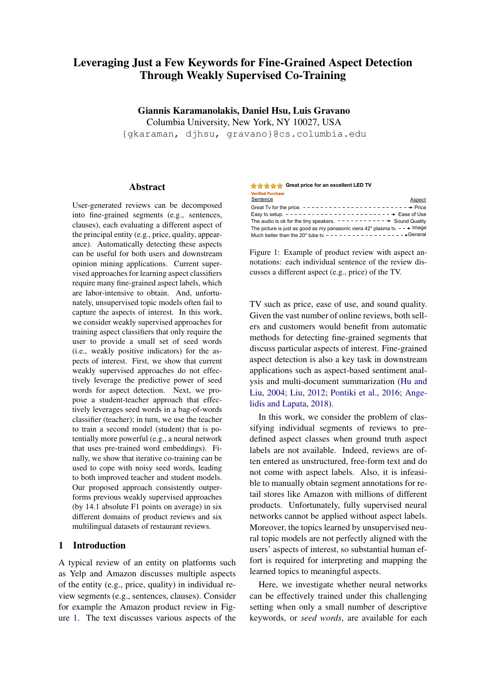<span id="page-6-1"></span>

|                                   | <b>Product Review Domain</b> |                  |              |                 |      |                |      |
|-----------------------------------|------------------------------|------------------|--------------|-----------------|------|----------------|------|
| <b>Method</b>                     | <b>Bags</b>                  | <b>Keyboards</b> | <b>Boots</b> | <b>Headsets</b> | TVs  | <b>Vacuums</b> | AVG  |
| LDA-Anchors (Lund et al., 2017)   | 33.5                         | 34.7             | 31.7         | 38.4            | 29.8 | 30.1           | 33.0 |
| ABAE (He et al., 2017)            | 38.1                         | 38.6             | 35.2         | 37.6            | 39.5 | 38.1           | 37.9 |
| MATE (Angelidis and Lapata, 2018) | 46.2                         | 43.5             | 45.6         | 52.2            | 48.8 | 42.3           | 46.4 |
| MATE-unweighted                   | 41.6                         | 41.3             | 41.2         | 48.5            | 45.7 | 40.6           | 43.2 |
| MATE-MT (best performing)         | 48.6                         | 45.3             | 46.4         | 54.5            | 51.8 | 47.7           | 49.1 |
| Teacher                           | 55.1                         | 52.0             | 44.5         | 50.1            | 56.8 | 54.5           | 52.2 |
| Student-BoW                       | 57.3                         | 56.2             | 48.8         | 59.8            | 59.6 | 55.8           | 56.3 |
| Student-W2V                       | 59.3                         | 57.0             | 48.3         | 66.8            | 64.0 | 57.0           | 58.7 |
| Student-W2V-RSW                   | 51.3                         | 57.2             | 46.6         | 63.0            | 62.1 | 57.1           | 56.2 |
| Student-ATT                       | 60.1                         | 55.6             | 49.9         | 66.6            | 63.4 | 58.2           | 58.9 |
| Student-BERT                      | 61.4                         | 57.5             | 52.0         | 66.5            | 63.0 | 60.4           | 60.2 |

<span id="page-6-2"></span>Table 3: Micro-averaged F1 reported for 9-class EDU-level aspect detection in product reviews.

|                  |      | <b>Restaurant Review Language</b> |      |      |      |      |      |  |
|------------------|------|-----------------------------------|------|------|------|------|------|--|
| <b>Method</b>    | En   | Sp                                | Fr   | Ru   | Du   | Tur  | AVG  |  |
| W2V-Gold         | 58.8 | 50.4                              | 50.4 | 69.3 | 51.4 | 55.7 | 56.0 |  |
| <b>BERT-Gold</b> | 63.1 | 51.6                              | 50.5 | 64.6 | 53.5 | 55.3 | 56.4 |  |
| <b>MATE</b>      | 41.0 | 24.9                              | 17.8 | 18.4 | 36.1 | 39.0 | 29.5 |  |
| MATE-unweighted  | 40.3 | 18.3                              | 19.2 | 21.8 | 31.5 | 25.2 | 26.1 |  |
| Teacher          | 44.9 | 41.8                              | 34.1 | 54.4 | 40.7 | 30.2 | 41.0 |  |
| Student-W2V      | 47.2 | 40.9                              | 32.4 | 59.0 | 42.1 | 42.3 | 44.0 |  |
| Student-ATT      | 47.8 | 41.7                              | 32.9 | 57.3 | 44.1 | 45.5 | 44.9 |  |
| Student-BERT     | 51.8 | 42.0                              | 39.2 | 58.0 | 43.0 | 45.0 | 46.5 |  |

Table 4: Micro-averaged F1 reported for 12-class sentence-level aspect detection in restaurant reviews. The fully supervised \*-Gold models are not directly comparable with the weakly supervised models.

manually mapped to aspects.

MATE-\*: The MATE model of [Angelidis](#page-8-0) [and Lapata](#page-8-0) [\(2018\)](#page-8-0) with various configurations: initialization of the aspect embeddings  $A_k$  using the unweighted/weighted average of seed word embeddings and an extra multitask training objective  $(MT)$ .<sup>[8](#page-6-0)</sup>

Teacher: Our bag-of-seed-words teacher.

Student-\*: Our student network trained with various configurations for the EMB function.

\*-Gold: Supervised models trained using ground truth aspect labels, which are only available for restaurant reviews. These models are not directly comparable with the other models and baselines.

### 4.2 Experimental Results

Tables [3](#page-6-1) and [4](#page-6-2) show the results for aspect detection on product and restaurant reviews, respectively. The rightmost column of each table reports the average performance across the 6 domains/languages.

MATE-\* models outperform ABAE. Using the seed words to initialize aspect embeddings leads to more accurate aspect predictions than mapping the learned (unsupervised) topics to aspects.

LDA-Anchors performs worse than MATE-\* models. Although averages of seed words were used as "anchors" in the "Tandem Anchoring" algorithm, we observed that the learned topics did not correspond to our aspects of interest.

The teacher effectively leverages seed words. By leveraging the seed words in a more direct way, Teacher is able to outperform the MATE-\* models. Thus, we can use Teacher's predictions as supervision for the student, as we describe next.

The student outperforms the teacher. Student-BoW outperforms Teacher: the two models have the same architecture but Teacher only considers seed words; regularizing Student's weights en-

<span id="page-6-0"></span> ${}^{8}$ The multi-task training objective in MATE requires datasets from different domains but same language, thus it cannot be applied in our datasets of restaurant reviews.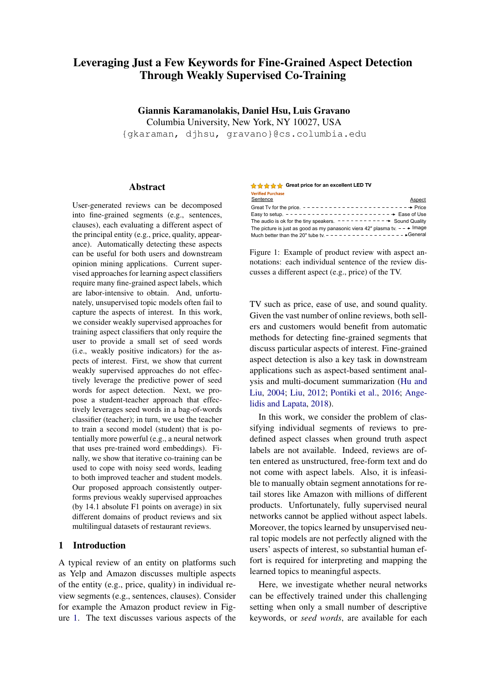courages Student to mimic the noisy aspect predictions of Teacher by also considering non-seed words for aspect detection. The benefits of our distillation approach are highlighted using neural networks with word embeddings. Student-W2V outperforms both Teacher and Student-BoW, showing that obtaining segment representations as the average of word embeddings is more effective than using bag-of-words representations for this task.

The student outperforms previous weakly supervised models even in one co-training round. Student-ATT outperforms MATE-unweighted (by 36.3% in product reviews and by 52.2% in restaurant reviews) even in a single co-training round: although the two models use exactly the same seed words (without weights), pre-trained word embeddings, EMB function, and CLF function, our student-teacher approach leverages the available seed words more effectively as noisy supervision than just for initialization. Also, using our approach, we can explore more powerful methods for segment embedding without the constraint of a fixed word embedding space. Indeed, using contextualized word representations in Student-BERT leads to the best performance over all models.

As expected, our weakly supervised approach does not outperform the fully supervised (\*-Gold) models. However, our approach substantially reduces the performance gap between weakly supervised approaches and fully supervised approaches by 62%. The benefits of our student-teacher approach are consistent across all datasets, highlighting the predictive power of seed words across different domains and languages.

The student leverages non-seed words. To better understand the extent to which non-seed words can predict the aspects of interest, we experiment with completely removing the seed words from Student-W2V's input during training (Student-W2V-RSW method; see Figure [3\)](#page-7-0). Thus, in this setting, Student-W2V-RSW is forced to only use non-seed words to detect aspects. Note that the cotraining assumption of conditionally independent views [\(Blum and Mitchell,](#page-8-5) [1998\)](#page-8-5) is satisfied in this setting, where Teacher is only using seed words and Student-W2V is only using non-seed words. Student-W2V-RSW effectively learns to use nonseed words to predict aspects and performs better than Teacher (but worse than Student-W2V, which considers both seed and non-seed words). For ad-

<span id="page-7-0"></span>

Figure 3: Our weakly supervised co-training approach when seed words are removed from the student's input (RSW baseline). Segment  $S_{non-seed}$  is an edited version of s, where we replace each seed word in s by an "UNK" special token (like out-of-vocabulary words).

<span id="page-7-1"></span>

| <b>Method</b>                  | <b>Initial</b> | <b>Iterative</b> |  |  |  |  |
|--------------------------------|----------------|------------------|--|--|--|--|
| Product Reviews (AVG)          |                |                  |  |  |  |  |
| <b>MATE</b>                    | 46.4           |                  |  |  |  |  |
| Teacher / Student-W2V          | 52.2/58.7      | 58.5/59.7        |  |  |  |  |
| Teacher / Student-BERT         | 52.2/60.2      | 58.6 / 60.8      |  |  |  |  |
| <b>Restaurant Reviews (En)</b> |                |                  |  |  |  |  |
| <b>MATE</b>                    | 29.5           |                  |  |  |  |  |
| Teacher / Student-W2V          | 44.9 / 47.2    | 45.8 / 49.0      |  |  |  |  |
| Teacher / Student-BERT         | 44.9/51.8      | 49.8 / 53.4      |  |  |  |  |

Table 5: Micro-averaged F1 scores during the first round (middle column) and after iterative co-training (right column) in product reviews (top) and restaurant reviews (bottom).

ditional ablation experiments, see Appendix [A.](#page-11-0)

Iterative co-training copes with noisy words. Further performance improvement in Teacher and Student-\* can be observed with the iterative cotraining procedure of Section [3.3.](#page-4-3) Table [5](#page-7-1) reports the performance of Teacher and Student-\* after co-training for both product reviews (top) and English restaurant reviews (bottom). (For more detailed, per-domain results, see Appendix [A.](#page-11-0)) Compared to the initial version of Teacher that does not model the quality of the seed words, iterative co-training leads to estimates of seed word quality that improve Teacher's performance up to 12.3% (in product reviews using Student-BERT).

A better teacher leads to a better student. Cotraining leads to improved student performance in both datasets (Table [5\)](#page-7-1). Compared to MATE, which uses the validation set to estimate the seed weights as a pre-processing step, we estimate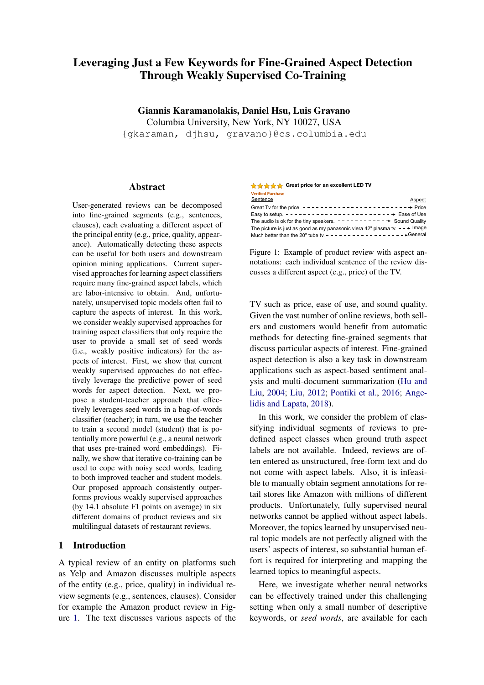<span id="page-8-11"></span>

Figure 4: Co-training performance for each round reported for product reviews (left) and restaurant reviews (right). T<*i*>and S<*i*>correspond to the teacher's and student's performance, respectively, at the *i*-th round.

and iteratively adapt the seed weights using the student-teacher disagreement, which substantially improves performance. Across the 12 datasets, Student-BERT leads to an average absolute increase of 14.1 F1 points.

Figure [4](#page-8-11) plots Teacher's and Student-BERT's performance after each round of co-training. Most of the improvement for both Teacher and Student-BERT is gained in the first two rounds of cotraining: "T0" (in Figure [4\)](#page-8-11) is the initial teacher, while "T1" is the teacher with estimates of seed word qualities, which leads to more accurate predictions, e.g., in segments with multiple seed words from different aspects.

## <span id="page-8-1"></span>5 Conclusions and Future Work

We presented a weakly supervised approach for leveraging a small number of seed words (instead of ground truth aspect labels) for segmentlevel aspect detection. Our student-teacher approach leverages seed words more directly and effectively than previous weakly supervised approaches. The teacher model provides weak supervision to a student model, which generalizes better than the teacher by also considering nonseed words and by using pre-trained word embeddings. We further show that iterative co-training lets us estimate the quality of the (possibly noisy) seed words. This leads to a better teacher and, in turn, a better student. Our proposed method consistently outperforms previous weakly supervised methods in 12 datasets, allowing for seed words from various domains and languages to be leveraged for aspect detection. Our student-teacher approach could be applied for any classification task for which a small set of seed words describe each class. In future work, we plan to extend our framework to multi-task settings, and to incorporate interaction to learn better seed words.

#### Acknowledgments

We thank the anonymous reviewers for their constructive feedback. This material is based upon work supported by the National Science Foundation under Grant No. IIS-15-63785.

#### References

- <span id="page-8-0"></span>Stefanos Angelidis and Mirella Lapata. 2018. Summarizing opinions: Aspect extraction meets sentiment prediction and they are both weakly supervised. In *Proceedings of the 2018 Conference on Empirical Methods in Natural Language Processing*.
- <span id="page-8-4"></span>Sanjeev Arora, Rong Ge, Yoni Halpern, David Mimno, Ankur Moitra, David Sontag, Yichen Wu, and Michael Zhu. 2013. A practical algorithm for topic modeling with provable guarantees. In *Proceedings of the International Conference on International Conference on Machine Learning*.
- <span id="page-8-2"></span>Sanjeev Arora, Yingyu Liang, and Tengyu Ma. 2017. A simple but tough-to-beat baseline for sentence embeddings. In *Proceedings of the International Conference on Learning Representations*.
- <span id="page-8-10"></span>Jimmy Ba and Rich Caruana. 2014. Do deep nets really need to be deep? In *Advances in Neural Information Processing Systems*.
- <span id="page-8-6"></span>Maria-Florina Balcan, Avrim Blum, and Ke Yang. 2005. Co-training and expansion: Towards bridging theory and practice. In *Advances in Neural Information Processing Systems*.
- <span id="page-8-3"></span>David M Blei, Andrew Y Ng, and Michael I Jordan. 2003. Latent dirichlet allocation. *Journal of Machine Learning Research*, 3(Jan):993–1022.
- <span id="page-8-5"></span>Avrim Blum and Tom Mitchell. 1998. Combining labeled and unlabeled data with co-training. In *Proceedings of the Annual Conference on Computational Learning Theory*.
- <span id="page-8-9"></span>Cristian Buciluă, Rich Caruana, and Alexandru Niculescu-Mizil. 2006. Model compression. In *Proceedings of the ACM SIGKDD International Conference on Knowledge Discovery and Data Mining*.
- <span id="page-8-7"></span>Minmin Chen, Kilian Q Weinberger, and John Blitzer. 2011. Co-training for domain adaptation. In *Advances in Neural Information Processing Systems*.
- <span id="page-8-8"></span>Kevin Clark, Minh-Thang Luong, Christopher D Manning, and Quoc Le. 2018. Semi-supervised sequence modeling with cross-view training. In *Proceedings of the 2018 Conference on Empirical Methods in Natural Language Processing*.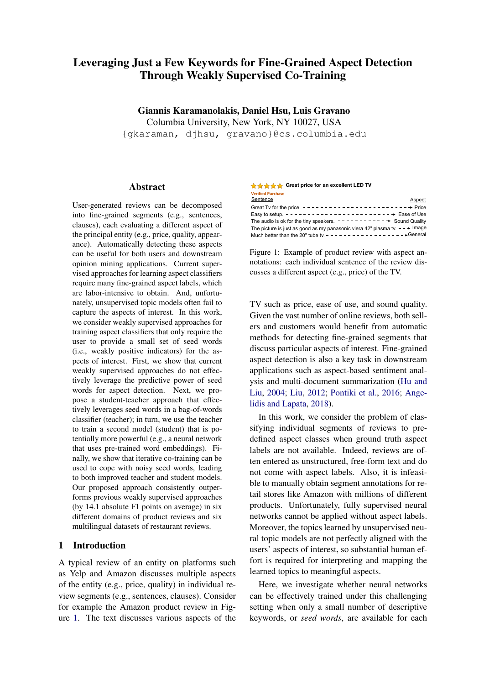- <span id="page-9-10"></span>Michael Collins and Yoram Singer. 1999. Unsupervised models for named entity classification. In *1999 Joint SIGDAT Conference on Empirical Methods in Natural Language Processing and Very Large Corpora*.
- <span id="page-9-12"></span>Andrew M Dai and Quoc V Le. 2015. Semi-supervised sequence learning. In *Advances in Neural Information Processing Systems*.
- <span id="page-9-5"></span>Jacob Devlin, Ming-Wei Chang, Kenton Lee, and Kristina Toutanova. 2019. Bert: Pre-training of deep bidirectional transformers for language understanding. In *Proceedings of the 2019 Conference of the North American Chapter of the Association for Computational Linguistics: Human Language Technologies*.
- <span id="page-9-22"></span>Vanessa Wei Feng and Graeme Hirst. 2012. Text-level discourse parsing with rich linguistic features. In *Proceedings of the Annual Meeting of the Association for Computational Linguistics*.
- <span id="page-9-17"></span>Tommaso Furlanello, Zachary Lipton, Michael Tschannen, Laurent Itti, and Anima Anandkumar. 2018. Born-again neural networks. In *International Conference on Machine Learning*.
- <span id="page-9-7"></span>Ruidan He, Wee Sun Lee, Hwee Tou Ng, and Daniel Dahlmeier. 2017. An unsupervised neural attention model for aspect extraction. In *Proceedings of the Annual Meeting of the Association for Computational Linguistics*.
- <span id="page-9-14"></span>Geoffrey Hinton, Oriol Vinyals, and Jeff Dean. 2015. Distilling the knowledge in a neural network. *arXiv preprint arXiv:1503.02531*.
- <span id="page-9-13"></span>Jeremy Howard and Sebastian Ruder. 2018. Universal language model fine-tuning for text classification. In *Proceedings of the Annual Meeting of the Association for Computational Linguistics*.
- <span id="page-9-0"></span>Minqing Hu and Bing Liu. 2004. Mining and summarizing customer reviews. In *Proceedings of the ACM SIGKDD International Conference on Knowledge Discovery and Data Mining*.
- <span id="page-9-6"></span>Mohit Iyyer, Anupam Guha, Snigdha Chaturvedi, Jordan Boyd-Graber, and Hal Daumé III. 2016. Feuding families and former friends: Unsupervised learning for dynamic fictional relationships. In *Proceedings of the 2016 Conference of the North American Chapter of the Association for Computational Linguistics: Human Language Technologies*.
- <span id="page-9-2"></span>Giannis Karamanolakis, Daniel Hsu, and Luis Gravano. 2019. Training neural networks for aspect extraction using descriptive keywords only. In *Proceedings of the Second Learning from Limited Labeled Data Workshop*.
- <span id="page-9-18"></span>Ashish Khetan, Zachary C Lipton, and Anima Anandkumar. 2018. Learning from noisy singly-labeled data. In *Proceedings of the International Conference on Learning Representations*.
- <span id="page-9-4"></span>Yoon Kim. 2014. Convolutional neural networks for sentence classification. In *Proceedings of the 2014 Conference on Empirical Methods in Natural Language Processing*.
- <span id="page-9-16"></span>Yoon Kim and Alexander M Rush. 2016. Sequencelevel knowledge distillation. In *Proceedings of the 2016 Conference on Empirical Methods in Natural Language Processing*.
- <span id="page-9-23"></span>Diederik P Kingma and Jimmy Ba. 2014. Adam: A method for stochastic optimization. *arXiv preprint arXiv:1412.6980*.
- <span id="page-9-1"></span>Bing Liu. 2012. Sentiment analysis and opinion mining. *Synthesis lectures on human language technologies*, 5(1):1–167.
- <span id="page-9-3"></span>Pengfei Liu, Shafiq Joty, and Helen Meng. 2015. Finegrained opinion mining with recurrent neural networks and word embeddings. In *Proceedings of the 2015 Conference on Empirical Methods in Natural Language Processing*.
- <span id="page-9-15"></span>David Lopez-Paz, Léon Bottou, Bernhard Schölkopf, and Vladimir Vapnik. 2016. Unifying distillation and privileged information. In *Proceedings of the International Conference on Learning Representations*.
- <span id="page-9-8"></span>Bin Lu, Myle Ott, Claire Cardie, and Benjamin K Tsou. 2011. Multi-aspect sentiment analysis with topic models. In *2011 IEEE International Conference on Data Mining Workshops*. IEEE.
- <span id="page-9-9"></span>Jeffrey Lund, Connor Cook, Kevin Seppi, and Jordan Boyd-Graber. 2017. Tandem anchoring: A multiword anchor approach for interactive topic modeling. In *Proceedings of the Annual Meeting of the Association for Computational Linguistics*.
- <span id="page-9-20"></span>Thang Luong, Hieu Pham, and Christopher D Manning. 2015. Effective approaches to attention-based neural machine translation. In *Proceedings of the 2015 Conference on Empirical Methods in Natural Language Processing*.
- <span id="page-9-21"></span>Julian McAuley, Christopher Targett, Qinfeng Shi, and Anton Van Den Hengel. 2015. Image-based recommendations on styles and substitutes. In *Proceedings of the International ACM SIGIR Conference on Research and Development in Information Retrieval*.
- <span id="page-9-11"></span>David McClosky, Eugene Charniak, and Mark Johnson. 2006. Effective self-training for parsing. In *Proceedings of the 2006 Conference of the North American Chapter of the Association of Computational Linguistics*. Association for Computational Linguistics.
- <span id="page-9-19"></span>Nagarajan Natarajan, Inderjit S Dhillon, Pradeep K Ravikumar, and Ambuj Tewari. 2013. Learning with noisy labels. In *Advances in Neural Information Processing Systems*.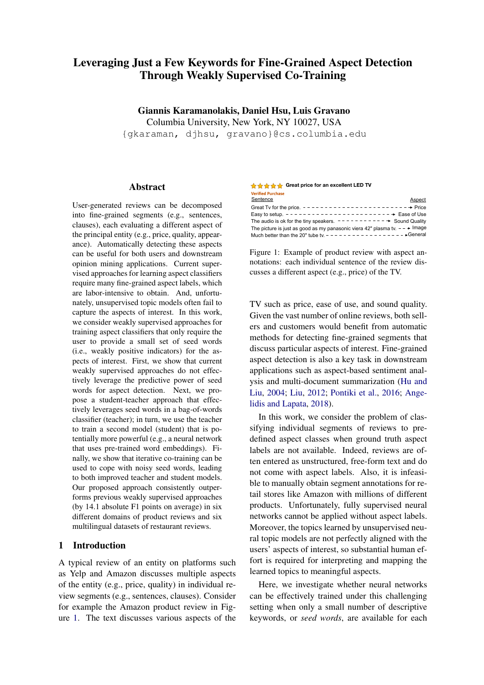- <span id="page-10-9"></span>Jeffrey Pennington, Richard Socher, and Christopher Manning. 2014. Glove: Global vectors for word representation. In *Proceedings of the 2014 Conference on Empirical Methods in Natural Language Processing*.
- <span id="page-10-0"></span>Maria Pontiki, Dimitris Galanis, Haris Papageorgiou, Ion Androutsopoulos, Suresh Manandhar, AL-Smadi Mohammad, Mahmoud Al-Ayyoub, Yanyan Zhao, Bing Qin, Orphée De Clercq, et al. 2016. Semeval-2016 task 5: Aspect based sentiment analysis. In *Proceedings of the 10th International Workshop on Semantic Evaluation (SemEval-2016)*.
- <span id="page-10-1"></span>Soujanya Poria, Erik Cambria, and Alexander Gelbukh. 2016. Aspect extraction for opinion mining with a deep convolutional neural network. *Knowledge-Based Systems*, 108:42–49.
- <span id="page-10-6"></span>Alec Radford, Karthik Narasimhan, Tim Salimans, and Ilya Sutskever. 2018. Improving language understanding by generative pre-training. *https://blog.openai.com/language-unsupervised*.
- <span id="page-10-16"></span>Sebastian Ruder, Parsa Ghaffari, and John G Breslin. 2016. A hierarchical model of reviews for aspectbased sentiment analysis. *Proceedings of the 2014 Conference on Empirical Methods in Natural Language Processing*.
- <span id="page-10-11"></span>Sebastian Ruder and Barbara Plank. 2018. Strong baselines for neural semi-supervised learning under domain shift. In *Proceedings of the Annual Meeting of the Association for Computational Linguistics*.
- <span id="page-10-7"></span>Akash Srivastava and Charles Sutton. 2071. Autoencoding variational inference for topic models. In *Proceedings of the International Conference on Learning Representations*.
- <span id="page-10-14"></span>Nitish Srivastava, Geoffrey Hinton, Alex Krizhevsky, Ilya Sutskever, and Ruslan Salakhutdinov. 2014. Dropout: a simple way to prevent neural networks from overfitting. *The Journal of Machine Learning Research*, 15(1):1929–1958.
- <span id="page-10-15"></span>Ashish Vaswani, Noam Shazeer, Niki Parmar, Jakob Uszkoreit, Llion Jones, Aidan N Gomez, Łukasz Kaiser, and Illia Polosukhin. 2017. Attention is all you need. In *Advances in Neural Information Processing Systems*.
- <span id="page-10-13"></span>Weiran Wang. 2019. Everything old is new again: A multi-view learning approach to learning using privileged information and distillation. *arXiv preprint arXiv:1903.03694*.
- <span id="page-10-8"></span>Jason Weston, Samy Bengio, and Nicolas Usunier. 2011. Wsabie: Scaling up to large vocabulary image annotation. In *Twenty-Second International Joint Conference on Artificial Intelligence*.
- <span id="page-10-3"></span>John Wieting, Mohit Bansal, Kevin Gimpel, and Karen Livescu. 2015. Towards universal paraphrastic sentence embeddings. *In Proceedings of the International Conference on Learning Representations*.
- <span id="page-10-5"></span>John Wieting and Kevin Gimpel. 2017. Revisiting recurrent networks for paraphrastic sentence embeddings. In *Proceedings of the Annual Meeting of the Association for Computational Linguistics*.
- <span id="page-10-4"></span>Zichao Yang, Diyi Yang, Chris Dyer, Xiaodong He, Alex Smola, and Eduard Hovy. 2016. Hierarchical attention networks for document classification. In *Proceedings of the 2016 Conference of the North American Chapter of the Association for Computational Linguistics: Human Language Technologies*.
- <span id="page-10-10"></span>David Yarowsky. 1995. Unsupervised word sense disambiguation rivaling supervised methods. In *Annual Meeting of the Association for Computational Linguistics*.
- <span id="page-10-2"></span>Lei Zhang, Shuai Wang, and Bing Liu. 2018. Deep learning for sentiment analysis: A survey. *Wiley Interdisciplinary Reviews: Data Mining and Knowledge Discovery*, page e1253.
- <span id="page-10-12"></span>Zhi-Hua Zhou and Ming Li. 2005. Tri-training: Exploiting unlabeled data using three classifiers. *IEEE Transactions on Knowledge & Data Engineering*, (11):1529–1541.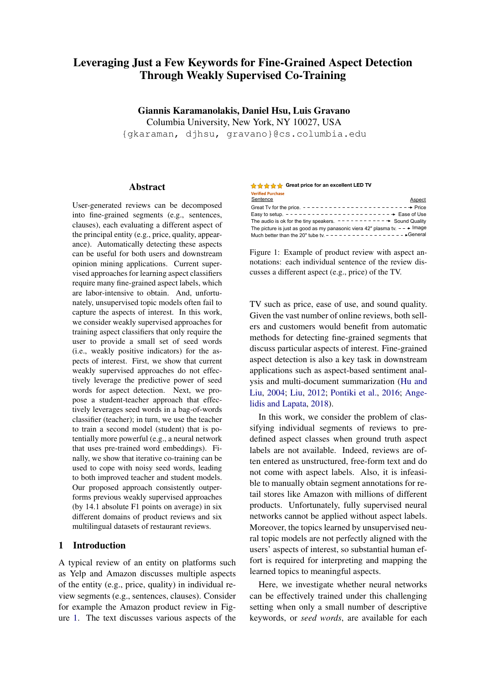# <span id="page-11-0"></span>A Appendix

For reproducibility, we provide more information on datasets (Section [A.1\)](#page-11-1) and implementation details (Section [A.2\)](#page-11-2), and report more detailed evaluation results (Section [A.3\)](#page-11-3).

# <span id="page-11-1"></span>A.1 Datasets

In this section, we describe all details of the datasets of product and restaurant reviews, and report dataset statistics.

Product Reviews. The OPOSUM dataset [\(An](#page-8-0)[gelidis and Lapata,](#page-8-0) [2018\)](#page-8-0) is a subset of the Amazon Product Dataset [\(McAuley et al.,](#page-9-21) [2015\)](#page-9-21), which contains Amazon reviews from 6 domains: Laptop Bags, Keyboards, Boots, Bluetooth Headsets, Televisions, and Vacuums. The validation and test segments of each domain have been manually annotated with 9 aspects (Table [4\)](#page-12-0). The reviews of each domain are already segmented by [Ange](#page-8-0)[lidis and Lapata](#page-8-0) [\(2018\)](#page-8-0) into elementary discourse units (EDUs) using a Rhetorical Structure Theory parser [\(Feng and Hirst,](#page-9-22) [2012\)](#page-9-22). The average number of training, validation, and test segments across domains is around 1 million, 700, and 700 segments, respectively. Segment statistics per domain are reported in the supplementary material of [Angelidis and Lapata](#page-8-0) [\(2018\)](#page-8-0).

Restaurant Reviews. The datasets used in the SemEval-2016 Aspect-based Sentiment Analysis task [\(Pontiki et al.,](#page-10-0) [2016\)](#page-10-0) contain reviews for multiple domains and languages. Here, we use the six corpora of multilingual (English, Spanish, French, Russian, Dutch, Turkish) restaurant reviews. The training, validation, and test segments have been manually annotated with 12 aspects, which are shared across languages:

- 1. Restaurant#General
- 2. Food#Quality
- 3. Service#General
- 4. Ambience#General
- 5. Food#Style\_Options
- 6. Food#Prices
- 7. Restaurant#Miscellaneous
- 8. Restaurant#Prices
- 9. Drinks#Quality
- 10. Drinks#Style\_Options
- 11. Location#General
- 12. Drinks#Prices

The reviews of each language are already segmented into sentences. The average number of training and test segments across languages is around 2500 and 800 segments respectively. The training segments of restaurant reviews are significantly fewer than the training segments of product reviews. Therefore, for non-English reviews we report results after a single co-training round. For our co-training experiments we augment the English reviews dataset with 50,000 English reviews randomly sampled from the Yelp Challenge corpus.[9](#page-11-4)

## <span id="page-11-2"></span>A.2 Implementation Details

For a fair comparison, for the product reviews we use the 200-dimensional word2vec embeddings provided by [Angelidis and Lapata](#page-8-0) [\(2018\)](#page-8-0) and the base uncased BERT model. $^{10}$  $^{10}$  $^{10}$  For the restaurant reviews, we use the 300-dimensional multilingual word2vec embeddings provided by [Ruder](#page-10-16) [et al.](#page-10-16) [\(2016\)](#page-10-16) and the multilingual cased BERT model.<sup>[11](#page-11-6)</sup> The student's parameters are optimized using Adam [\(Kingma and Ba,](#page-9-23) [2014\)](#page-9-23) with learning rate 0.005 and mini-batch size 50. After each co-training round we divide the learning rate by 10. We apply dropout in the word embeddings and the last hidden layers of the classifiers [\(Srivastava](#page-10-14) [et al.,](#page-10-14) [2014\)](#page-10-14) with rate 0.5.

## <span id="page-11-3"></span>A.3 More Results

Table [5](#page-12-1) reports detailed per-domain results. "Teacher (symmetric)" is a simpler version of Teacher that randomly guesses the aspect of segments with no seed words. For Student-W2V we report additional ablation experiments. The \*- ISWD models correspond to student or teacher models after multiple rounds of co-training until convergence.

<span id="page-11-6"></span><sup>11</sup>https://github.com/google-

research/bert/blob/master/multilingual.md

<span id="page-11-4"></span><sup>9</sup> https://www.yelp.com/dataset/challenge

<span id="page-11-5"></span><sup>10</sup>https://github.com/google-research/bert#pre-trainedmodels